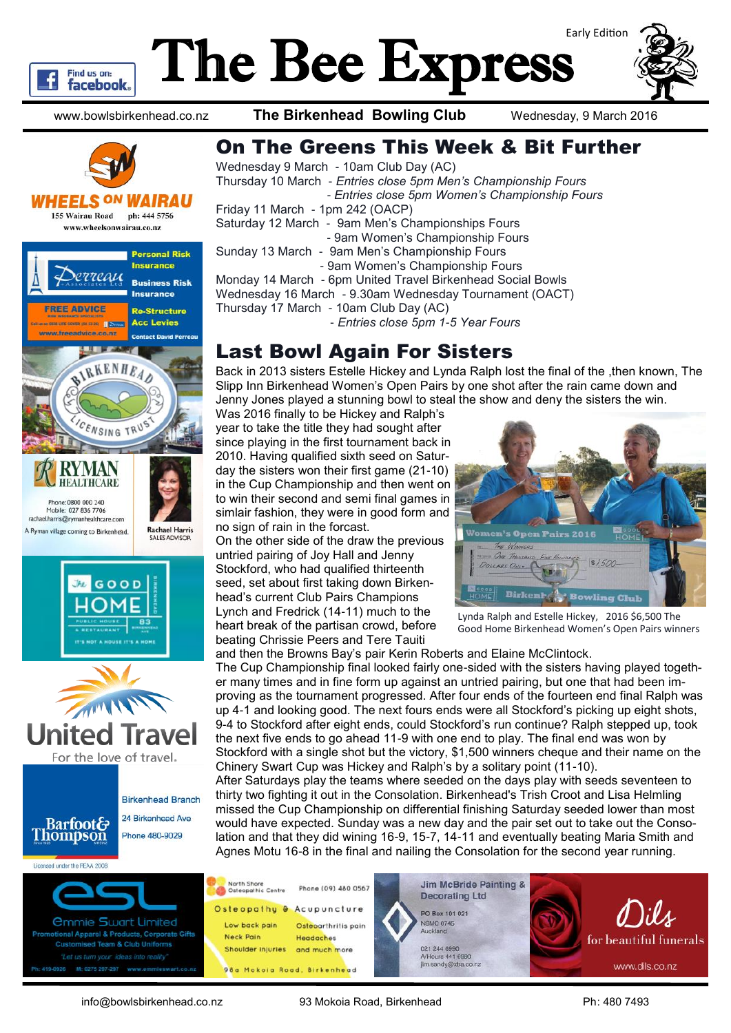

## The Bee Express



www.bowlsbirkenhead.co.nz **The Birkenhead Bowling Club** Wednesday, 9 March 2016



WHEELS <sup>ON</sup> WAIRAU **155 Wairau Road** ph: 444 5756 www.wheelsonwairau.co.nz







**Birkenhead Branch** 

24 Birkenhead Ave **Barfoot& Thompson** Phone 480-9029

Licensed under the REAA 2008

M: 0275 297-297



## Last Bowl Again For Sisters

Back in 2013 sisters Estelle Hickey and Lynda Ralph lost the final of the ,then known, The Slipp Inn Birkenhead Women's Open Pairs by one shot after the rain came down and Jenny Jones played a stunning bowl to steal the show and deny the sisters the win.

Was 2016 finally to be Hickey and Ralph's year to take the title they had sought after since playing in the first tournament back in 2010. Having qualified sixth seed on Saturday the sisters won their first game (21-10) in the Cup Championship and then went on to win their second and semi final games in simlair fashion, they were in good form and no sign of rain in the forcast.

On the other side of the draw the previous untried pairing of Joy Hall and Jenny Stockford, who had qualified thirteenth seed, set about first taking down Birkenhead's current Club Pairs Champions Lynch and Fredrick (14-11) much to the heart break of the partisan crowd, before beating Chrissie Peers and Tere Tauiti



Lynda Ralph and Estelle Hickey, 2016 \$6,500 The Good Home Birkenhead Women's Open Pairs winners

and then the Browns Bay's pair Kerin Roberts and Elaine McClintock. The Cup Championship final looked fairly one-sided with the sisters having played together many times and in fine form up against an untried pairing, but one that had been im-

proving as the tournament progressed. After four ends of the fourteen end final Ralph was up 4-1 and looking good. The next fours ends were all Stockford's picking up eight shots, 9-4 to Stockford after eight ends, could Stockford's run continue? Ralph stepped up, took the next five ends to go ahead 11-9 with one end to play. The final end was won by Stockford with a single shot but the victory, \$1,500 winners cheque and their name on the Chinery Swart Cup was Hickey and Ralph's by a solitary point (11-10).

After Saturdays play the teams where seeded on the days play with seeds seventeen to thirty two fighting it out in the Consolation. Birkenhead's Trish Croot and Lisa Helmling missed the Cup Championship on differential finishing Saturday seeded lower than most would have expected. Sunday was a new day and the pair set out to take out the Consolation and that they did wining 16-9, 15-7, 14-11 and eventually beating Maria Smith and Agnes Motu 16-8 in the final and nailing the Consolation for the second year running.